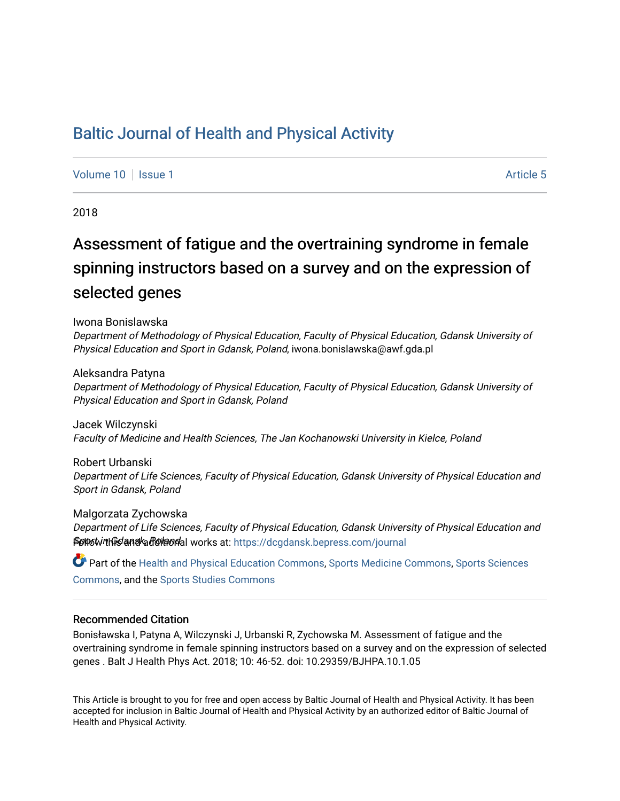## [Baltic Journal of Health and Physical Activity](https://dcgdansk.bepress.com/journal)

[Volume 10](https://dcgdansk.bepress.com/journal/vol10) | [Issue 1](https://dcgdansk.bepress.com/journal/vol10/iss1) Article 5

2018

# Assessment of fatigue and the overtraining syndrome in female spinning instructors based on a survey and on the expression of selected genes

Iwona Bonislawska

Department of Methodology of Physical Education, Faculty of Physical Education, Gdansk University of Physical Education and Sport in Gdansk, Poland, iwona.bonislawska@awf.gda.pl

Aleksandra Patyna

Department of Methodology of Physical Education, Faculty of Physical Education, Gdansk University of Physical Education and Sport in Gdansk, Poland

Jacek Wilczynski Faculty of Medicine and Health Sciences, The Jan Kochanowski University in Kielce, Poland

Robert Urbanski Department of Life Sciences, Faculty of Physical Education, Gdansk University of Physical Education and Sport in Gdansk, Poland

Malgorzata Zychowska Department of Life Sciences, Faculty of Physical Education, Gdansk University of Physical Education and Splut with Gand additional works at: [https://dcgdansk.bepress.com/journal](https://dcgdansk.bepress.com/journal?utm_source=dcgdansk.bepress.com%2Fjournal%2Fvol10%2Fiss1%2F5&utm_medium=PDF&utm_campaign=PDFCoverPages)

Part of the [Health and Physical Education Commons](http://network.bepress.com/hgg/discipline/1327?utm_source=dcgdansk.bepress.com%2Fjournal%2Fvol10%2Fiss1%2F5&utm_medium=PDF&utm_campaign=PDFCoverPages), [Sports Medicine Commons,](http://network.bepress.com/hgg/discipline/1331?utm_source=dcgdansk.bepress.com%2Fjournal%2Fvol10%2Fiss1%2F5&utm_medium=PDF&utm_campaign=PDFCoverPages) [Sports Sciences](http://network.bepress.com/hgg/discipline/759?utm_source=dcgdansk.bepress.com%2Fjournal%2Fvol10%2Fiss1%2F5&utm_medium=PDF&utm_campaign=PDFCoverPages) [Commons](http://network.bepress.com/hgg/discipline/759?utm_source=dcgdansk.bepress.com%2Fjournal%2Fvol10%2Fiss1%2F5&utm_medium=PDF&utm_campaign=PDFCoverPages), and the [Sports Studies Commons](http://network.bepress.com/hgg/discipline/1198?utm_source=dcgdansk.bepress.com%2Fjournal%2Fvol10%2Fiss1%2F5&utm_medium=PDF&utm_campaign=PDFCoverPages) 

#### Recommended Citation

Bonisławska I, Patyna A, Wilczynski J, Urbanski R, Zychowska M. Assessment of fatigue and the overtraining syndrome in female spinning instructors based on a survey and on the expression of selected genes . Balt J Health Phys Act. 2018; 10: 46-52. doi: 10.29359/BJHPA.10.1.05

This Article is brought to you for free and open access by Baltic Journal of Health and Physical Activity. It has been accepted for inclusion in Baltic Journal of Health and Physical Activity by an authorized editor of Baltic Journal of Health and Physical Activity.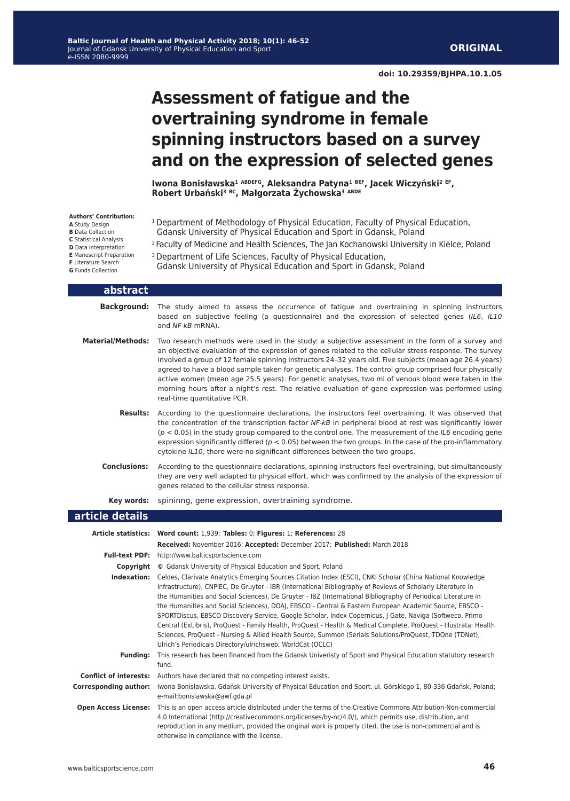## **Assessment of fatigue and the overtraining syndrome in female spinning instructors based on a survey and on the expression of selected genes**

**Iwona Bonisławska<sup>1</sup> ABDEFG, Aleksandra Patyna<sup>1</sup> BEF, Jacek Wiczyński<sup>2</sup> EF, Robert Urbański<sup>3</sup> BC, Małgorzata Żychowska<sup>3</sup> ABDE**

| Authors' Contribution:<br>A Study Design<br><b>B</b> Data Collection<br><b>C</b> Statistical Analysis<br>D Data Interpretation<br><b>E</b> Manuscript Preparation<br>F Literature Search<br><b>G</b> Funds Collection | <sup>1</sup> Department of Methodology of Physical Education, Faculty of Physical Education,<br>Gdansk University of Physical Education and Sport in Gdansk, Poland<br><sup>2</sup> Faculty of Medicine and Health Sciences, The Jan Kochanowski University in Kielce, Poland<br><sup>3</sup> Department of Life Sciences, Faculty of Physical Education,<br>Gdansk University of Physical Education and Sport in Gdansk, Poland                                                                                                                                                                                                                                                                                                                                                                                                                                                                                                                                                                                                  |
|-----------------------------------------------------------------------------------------------------------------------------------------------------------------------------------------------------------------------|-----------------------------------------------------------------------------------------------------------------------------------------------------------------------------------------------------------------------------------------------------------------------------------------------------------------------------------------------------------------------------------------------------------------------------------------------------------------------------------------------------------------------------------------------------------------------------------------------------------------------------------------------------------------------------------------------------------------------------------------------------------------------------------------------------------------------------------------------------------------------------------------------------------------------------------------------------------------------------------------------------------------------------------|
| abstract                                                                                                                                                                                                              |                                                                                                                                                                                                                                                                                                                                                                                                                                                                                                                                                                                                                                                                                                                                                                                                                                                                                                                                                                                                                                   |
| <b>Background:</b>                                                                                                                                                                                                    | The study aimed to assess the occurrence of fatigue and overtraining in spinning instructors<br>based on subjective feeling (a questionnaire) and the expression of selected genes (IL6, IL10<br>and NF-kB mRNA).                                                                                                                                                                                                                                                                                                                                                                                                                                                                                                                                                                                                                                                                                                                                                                                                                 |
| <b>Material/Methods:</b>                                                                                                                                                                                              | Two research methods were used in the study: a subjective assessment in the form of a survey and<br>an objective evaluation of the expression of genes related to the cellular stress response. The survey<br>involved a group of 12 female spinning instructors 24-32 years old. Five subjects (mean age 26.4 years)<br>agreed to have a blood sample taken for genetic analyses. The control group comprised four physically<br>active women (mean age 25.5 years). For genetic analyses, two ml of venous blood were taken in the<br>morning hours after a night's rest. The relative evaluation of gene expression was performed using<br>real-time quantitative PCR.                                                                                                                                                                                                                                                                                                                                                         |
| <b>Results:</b>                                                                                                                                                                                                       | According to the questionnaire declarations, the instructors feel overtraining. It was observed that<br>the concentration of the transcription factor NF-kB in peripheral blood at rest was significantly lower<br>$(p < 0.05)$ in the study group compared to the control one. The measurement of the IL6 encoding gene<br>expression significantly differed ( $p < 0.05$ ) between the two groups. In the case of the pro-inflammatory<br>cytokine IL10, there were no significant differences between the two groups.                                                                                                                                                                                                                                                                                                                                                                                                                                                                                                          |
| <b>Conclusions:</b>                                                                                                                                                                                                   | According to the questionnaire declarations, spinning instructors feel overtraining, but simultaneously<br>they are very well adapted to physical effort, which was confirmed by the analysis of the expression of<br>genes related to the cellular stress response.                                                                                                                                                                                                                                                                                                                                                                                                                                                                                                                                                                                                                                                                                                                                                              |
| Key words:                                                                                                                                                                                                            | spininng, gene expression, overtraining syndrome.                                                                                                                                                                                                                                                                                                                                                                                                                                                                                                                                                                                                                                                                                                                                                                                                                                                                                                                                                                                 |
| article details                                                                                                                                                                                                       |                                                                                                                                                                                                                                                                                                                                                                                                                                                                                                                                                                                                                                                                                                                                                                                                                                                                                                                                                                                                                                   |
|                                                                                                                                                                                                                       | Article statistics: Word count: 1,939; Tables: 0; Figures: 1; References: 28                                                                                                                                                                                                                                                                                                                                                                                                                                                                                                                                                                                                                                                                                                                                                                                                                                                                                                                                                      |
|                                                                                                                                                                                                                       | Received: November 2016; Accepted: December 2017; Published: March 2018<br><b>Full-text PDF:</b> http://www.balticsportscience.com<br><b>Copyright</b> © Gdansk University of Physical Education and Sport, Poland<br>Indexation: Celdes, Clarivate Analytics Emerging Sources Citation Index (ESCI), CNKI Scholar (China National Knowledge<br>Infrastructure), CNPIEC, De Gruyter - IBR (International Bibliography of Reviews of Scholarly Literature in<br>the Humanities and Social Sciences), De Gruyter - IBZ (International Bibliography of Periodical Literature in<br>the Humanities and Social Sciences), DOAJ, EBSCO - Central & Eastern European Academic Source, EBSCO -<br>SPORTDiscus, EBSCO Discovery Service, Google Scholar, Index Copernicus, J-Gate, Naviga (Softweco, Primo<br>Central (ExLibris), ProQuest - Family Health, ProQuest - Health & Medical Complete, ProQuest - Illustrata: Health<br>Sciences, ProQuest - Nursing & Allied Health Source, Summon (Serials Solutions/ProQuest, TDOne (TDNet), |
| <b>Funding:</b>                                                                                                                                                                                                       | Ulrich's Periodicals Directory/ulrichsweb, WorldCat (OCLC)<br>This research has been financed from the Gdansk Univeristy of Sport and Physical Education statutory research                                                                                                                                                                                                                                                                                                                                                                                                                                                                                                                                                                                                                                                                                                                                                                                                                                                       |
|                                                                                                                                                                                                                       | fund.                                                                                                                                                                                                                                                                                                                                                                                                                                                                                                                                                                                                                                                                                                                                                                                                                                                                                                                                                                                                                             |
| <b>Conflict of interests:</b>                                                                                                                                                                                         | Authors have declared that no competing interest exists.                                                                                                                                                                                                                                                                                                                                                                                                                                                                                                                                                                                                                                                                                                                                                                                                                                                                                                                                                                          |
| <b>Corresponding author:</b>                                                                                                                                                                                          | Iwona Bonisławska, Gdańsk University of Physical Education and Sport, ul. Górskiego 1, 80-336 Gdańsk, Poland;<br>e-mail:bonislawska@awf.gda.pl                                                                                                                                                                                                                                                                                                                                                                                                                                                                                                                                                                                                                                                                                                                                                                                                                                                                                    |
| <b>Open Access License:</b>                                                                                                                                                                                           | This is an open access article distributed under the terms of the Creative Commons Attribution-Non-commercial<br>4.0 International (http://creativecommons.org/licenses/by-nc/4.0/), which permits use, distribution, and<br>reproduction in any medium, provided the original work is properly cited, the use is non-commercial and is                                                                                                                                                                                                                                                                                                                                                                                                                                                                                                                                                                                                                                                                                           |

1

otherwise in compliance with the license.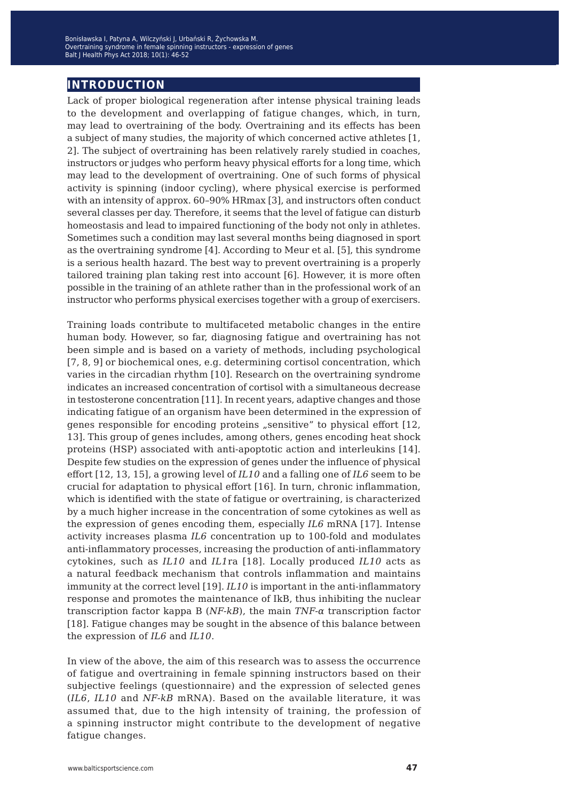## **introduction**

Lack of proper biological regeneration after intense physical training leads to the development and overlapping of fatigue changes, which, in turn, may lead to overtraining of the body. Overtraining and its effects has been a subject of many studies, the majority of which concerned active athletes [1, 2]. The subject of overtraining has been relatively rarely studied in coaches, instructors or judges who perform heavy physical efforts for a long time, which may lead to the development of overtraining. One of such forms of physical activity is spinning (indoor cycling), where physical exercise is performed with an intensity of approx. 60–90% HRmax [3], and instructors often conduct several classes per day. Therefore, it seems that the level of fatigue can disturb homeostasis and lead to impaired functioning of the body not only in athletes. Sometimes such a condition may last several months being diagnosed in sport as the overtraining syndrome [4]. According to Meur et al. [5], this syndrome is a serious health hazard. The best way to prevent overtraining is a properly tailored training plan taking rest into account [6]. However, it is more often possible in the training of an athlete rather than in the professional work of an instructor who performs physical exercises together with a group of exercisers.

Training loads contribute to multifaceted metabolic changes in the entire human body. However, so far, diagnosing fatigue and overtraining has not been simple and is based on a variety of methods, including psychological [7, 8, 9] or biochemical ones, e.g. determining cortisol concentration, which varies in the circadian rhythm [10]. Research on the overtraining syndrome indicates an increased concentration of cortisol with a simultaneous decrease in testosterone concentration [11]. In recent years, adaptive changes and those indicating fatigue of an organism have been determined in the expression of genes responsible for encoding proteins "sensitive" to physical effort [12, 13]. This group of genes includes, among others, genes encoding heat shock proteins (HSP) associated with anti-apoptotic action and interleukins [14]. Despite few studies on the expression of genes under the influence of physical effort [12, 13, 15], a growing level of *IL10* and a falling one of *IL6* seem to be crucial for adaptation to physical effort [16]. In turn, chronic inflammation, which is identified with the state of fatigue or overtraining, is characterized by a much higher increase in the concentration of some cytokines as well as the expression of genes encoding them, especially *IL6* mRNA [17]. Intense activity increases plasma *IL6* concentration up to 100-fold and modulates anti-inflammatory processes, increasing the production of anti-inflammatory cytokines, such as *IL10* and *IL1*ra [18]. Locally produced *IL10* acts as a natural feedback mechanism that controls inflammation and maintains immunity at the correct level [19]. *IL10* is important in the anti-inflammatory response and promotes the maintenance of IkB, thus inhibiting the nuclear transcription factor kappa B (*NF-kB*), the main *TNF-α* transcription factor [18]. Fatigue changes may be sought in the absence of this balance between the expression of *IL6* and *IL10*.

In view of the above, the aim of this research was to assess the occurrence of fatigue and overtraining in female spinning instructors based on their subjective feelings (questionnaire) and the expression of selected genes (*IL6*, *IL10* and *NF-kB* mRNA). Based on the available literature, it was assumed that, due to the high intensity of training, the profession of a spinning instructor might contribute to the development of negative fatigue changes.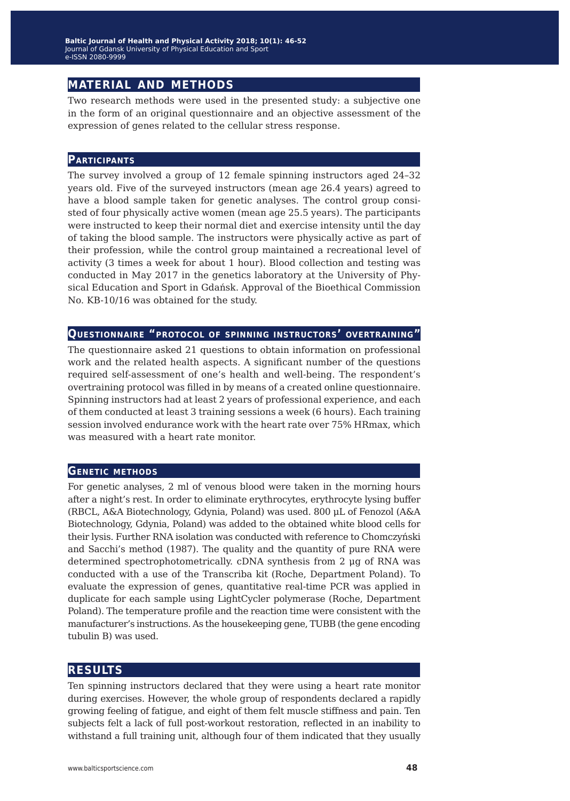## **material and methods**

Two research methods were used in the presented study: a subjective one in the form of an original questionnaire and an objective assessment of the expression of genes related to the cellular stress response.

#### **Participants**

The survey involved a group of 12 female spinning instructors aged 24–32 years old. Five of the surveyed instructors (mean age 26.4 years) agreed to have a blood sample taken for genetic analyses. The control group consisted of four physically active women (mean age 25.5 years). The participants were instructed to keep their normal diet and exercise intensity until the day of taking the blood sample. The instructors were physically active as part of their profession, while the control group maintained a recreational level of activity (3 times a week for about 1 hour). Blood collection and testing was conducted in May 2017 in the genetics laboratory at the University of Physical Education and Sport in Gdańsk. Approval of the Bioethical Commission No. KB-10/16 was obtained for the study.

#### **Questionnaire "protocol of spinning instructors' overtraining"**

The questionnaire asked 21 questions to obtain information on professional work and the related health aspects. A significant number of the questions required self-assessment of one's health and well-being. The respondent's overtraining protocol was filled in by means of a created online questionnaire. Spinning instructors had at least 2 years of professional experience, and each of them conducted at least 3 training sessions a week (6 hours). Each training session involved endurance work with the heart rate over 75% HRmax, which was measured with a heart rate monitor.

#### **Genetic methods**

For genetic analyses, 2 ml of venous blood were taken in the morning hours after a night's rest. In order to eliminate erythrocytes, erythrocyte lysing buffer (RBCL, A&A Biotechnology, Gdynia, Poland) was used. 800 μL of Fenozol (A&A Biotechnology, Gdynia, Poland) was added to the obtained white blood cells for their lysis. Further RNA isolation was conducted with reference to Chomczyński and Sacchi's method (1987). The quality and the quantity of pure RNA were determined spectrophotometrically. cDNA synthesis from 2 μg of RNA was conducted with a use of the Transcriba kit (Roche, Department Poland). To evaluate the expression of genes, quantitative real-time PCR was applied in duplicate for each sample using LightCycler polymerase (Roche, Department Poland). The temperature profile and the reaction time were consistent with the manufacturer's instructions. As the housekeeping gene, TUBB (the gene encoding tubulin B) was used.

### **results**

Ten spinning instructors declared that they were using a heart rate monitor during exercises. However, the whole group of respondents declared a rapidly growing feeling of fatigue, and eight of them felt muscle stiffness and pain. Ten subjects felt a lack of full post-workout restoration, reflected in an inability to withstand a full training unit, although four of them indicated that they usually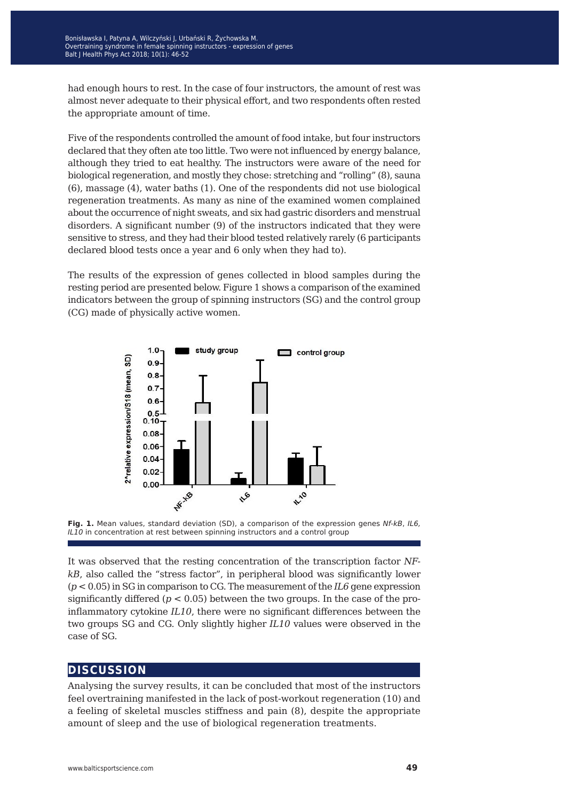had enough hours to rest. In the case of four instructors, the amount of rest was almost never adequate to their physical effort, and two respondents often rested the appropriate amount of time.

Five of the respondents controlled the amount of food intake, but four instructors declared that they often ate too little. Two were not influenced by energy balance, although they tried to eat healthy. The instructors were aware of the need for biological regeneration, and mostly they chose: stretching and "rolling" (8), sauna (6), massage (4), water baths (1). One of the respondents did not use biological regeneration treatments. As many as nine of the examined women complained about the occurrence of night sweats, and six had gastric disorders and menstrual disorders. A significant number (9) of the instructors indicated that they were sensitive to stress, and they had their blood tested relatively rarely (6 participants declared blood tests once a year and 6 only when they had to).

The results of the expression of genes collected in blood samples during the resting period are presented below. Figure 1 shows a comparison of the examined indicators between the group of spinning instructors (SG) and the control group (CG) made of physically active women.





It was observed that the resting concentration of the transcription factor *NFkB*, also called the "stress factor", in peripheral blood was significantly lower (*p* < 0.05) in SG in comparison to CG. The measurement of the *IL6* gene expression significantly differed  $(p < 0.05)$  between the two groups. In the case of the proinflammatory cytokine *IL10*, there were no significant differences between the two groups SG and CG. Only slightly higher *IL10* values were observed in the case of SG.

## **discussion**

Analysing the survey results, it can be concluded that most of the instructors feel overtraining manifested in the lack of post-workout regeneration (10) and a feeling of skeletal muscles stiffness and pain (8), despite the appropriate amount of sleep and the use of biological regeneration treatments.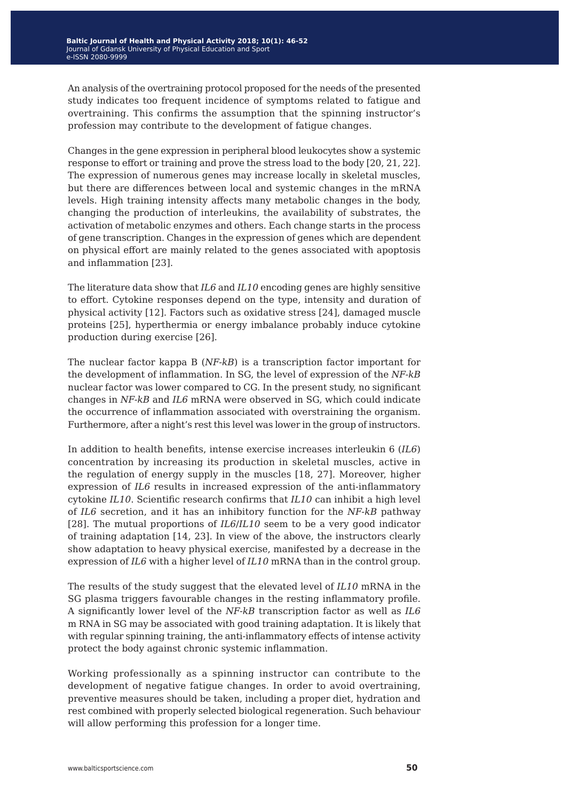An analysis of the overtraining protocol proposed for the needs of the presented study indicates too frequent incidence of symptoms related to fatigue and overtraining. This confirms the assumption that the spinning instructor's profession may contribute to the development of fatigue changes.

Changes in the gene expression in peripheral blood leukocytes show a systemic response to effort or training and prove the stress load to the body [20, 21, 22]. The expression of numerous genes may increase locally in skeletal muscles, but there are differences between local and systemic changes in the mRNA levels. High training intensity affects many metabolic changes in the body, changing the production of interleukins, the availability of substrates, the activation of metabolic enzymes and others. Each change starts in the process of gene transcription. Changes in the expression of genes which are dependent on physical effort are mainly related to the genes associated with apoptosis and inflammation [23].

The literature data show that *IL6* and *IL10* encoding genes are highly sensitive to effort. Cytokine responses depend on the type, intensity and duration of physical activity [12]. Factors such as oxidative stress [24], damaged muscle proteins [25], hyperthermia or energy imbalance probably induce cytokine production during exercise [26].

The nuclear factor kappa B (*NF-kB*) is a transcription factor important for the development of inflammation. In SG, the level of expression of the *NF-kB*  nuclear factor was lower compared to CG. In the present study, no significant changes in *NF-kB* and *IL6* mRNA were observed in SG, which could indicate the occurrence of inflammation associated with overstraining the organism. Furthermore, after a night's rest this level was lower in the group of instructors.

In addition to health benefits, intense exercise increases interleukin 6 (*IL6*) concentration by increasing its production in skeletal muscles, active in the regulation of energy supply in the muscles [18, 27]. Moreover, higher expression of *IL6* results in increased expression of the anti-inflammatory cytokine *IL10*. Scientific research confirms that *IL10* can inhibit a high level of *IL6* secretion, and it has an inhibitory function for the *NF-kB* pathway [28]. The mutual proportions of *IL6*/*IL10* seem to be a very good indicator of training adaptation [14, 23]. In view of the above, the instructors clearly show adaptation to heavy physical exercise, manifested by a decrease in the expression of *IL6* with a higher level of *IL10* mRNA than in the control group.

The results of the study suggest that the elevated level of *IL10* mRNA in the SG plasma triggers favourable changes in the resting inflammatory profile. A significantly lower level of the *NF-kB* transcription factor as well as *IL6*  m RNA in SG may be associated with good training adaptation. It is likely that with regular spinning training, the anti-inflammatory effects of intense activity protect the body against chronic systemic inflammation.

Working professionally as a spinning instructor can contribute to the development of negative fatigue changes. In order to avoid overtraining, preventive measures should be taken, including a proper diet, hydration and rest combined with properly selected biological regeneration. Such behaviour will allow performing this profession for a longer time.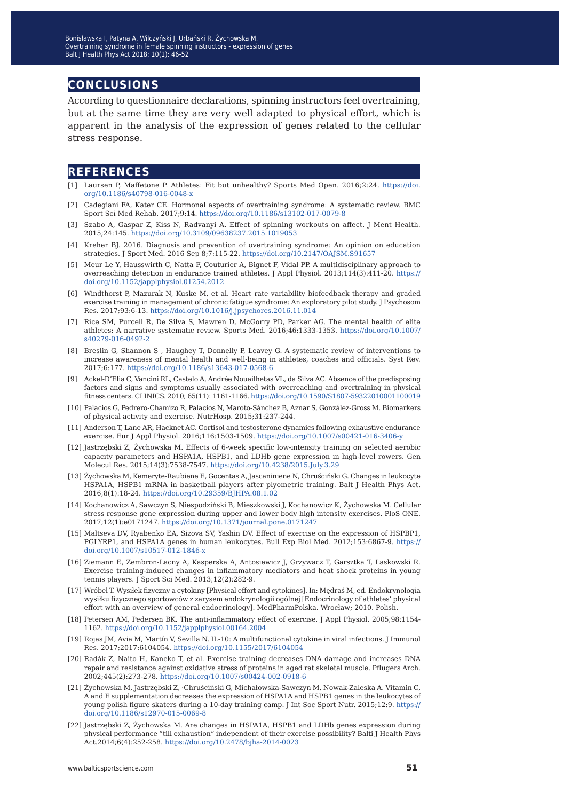## **conclusions**

According to questionnaire declarations, spinning instructors feel overtraining, but at the same time they are very well adapted to physical effort, which is apparent in the analysis of the expression of genes related to the cellular stress response.

#### **references**

- [1] Laursen P, Maffetone P. Athletes: Fit but unhealthy? Sports Med Open. 2016;2:24. [https://doi.](https://doi.org/10.1186/s40798-016-0048-x) [org/10.1186/s40798-016-0048-x](https://doi.org/10.1186/s40798-016-0048-x)
- [2] Cadegiani FA, Kater CE. Hormonal aspects of overtraining syndrome: A systematic review. BMC Sport Sci Med Rehab. 2017;9:14. <https://doi.org/10.1186/s13102-017-0079-8>
- [3] Szabo A, Gaspar Z, Kiss N, Radvanyi A. Effect of spinning workouts on affect. J Ment Health. 2015;24:145. <https://doi.org/10.3109/09638237.2015.1019053>
- [4] Kreher BJ. 2016. Diagnosis and prevention of overtraining syndrome: An opinion on education strategies. J Sport Med. 2016 Sep 8;7:115-22.<https://doi.org/10.2147/OAJSM.S91657>
- [5] Meur Le Y, Hausswirth C, Natta F, Couturier A, Bignet F, Vidal PP. A multidisciplinary approach to overreaching detection in endurance trained athletes. J Appl Physiol. 2013;114(3):411-20. [https://](https://doi.org/10.1152/japplphysiol.01254.2012) [doi.org/10.1152/japplphysiol.01254.2012](https://doi.org/10.1152/japplphysiol.01254.2012)
- [6] Windthorst P, Mazurak N, Kuske M, et al. Heart rate variability biofeedback therapy and graded exercise training in management of chronic fatigue syndrome: An exploratory pilot study. J Psychosom Res. 2017;93:6-13. <https://doi.org/10.1016/j.jpsychores.2016.11.014>
- [7] Rice SM, Purcell R, De Silva S, Mawren D, McGorry PD, Parker AG. The mental health of elite athletes: A narrative systematic review. Sports Med. 2016;46:1333-1353. [https://doi.org/10.1007/](https://doi.org/10.1007/s40279-016-0492-2) [s40279-016-0492-2](https://doi.org/10.1007/s40279-016-0492-2)
- [8] Breslin G, Shannon S , Haughey T, Donnelly P, Leavey G. A systematic review of interventions to increase awareness of mental health and well-being in athletes, coaches and officials. Syst Rev. 2017;6:177. <https://doi.org/10.1186/s13643-017-0568-6>
- [9] Ackel-D'Elia C, Vancini RL, Castelo A, Andrée Nouailhetas VL, da Silva AC. Absence of the predisposing factors and signs and symptoms usually associated with overreaching and overtraining in physical fitness centers. CLINICS. 2010; 65(11): 1161-1166. <https://doi.org/10.1590/S1807-59322010001100019>
- [10] Palacios G, Pedrero-Chamizo R, Palacios N, Maroto-Sánchez B, Aznar S, González-Gross M. Biomarkers of physical activity and exercise. NutrHosp. 2015;31:237-244.
- [11] Anderson T, Lane AR, Hacknet AC. Cortisol and testosterone dynamics following exhaustive endurance exercise. Eur J Appl Physiol. 2016;116:1503-1509. <https://doi.org/10.1007/s00421-016-3406-y>
- [12] Jastrzębski Z, Żychowska M. Effects of 6-week specific low-intensity training on selected aerobic capacity parameters and HSPA1A, HSPB1, and LDHb gene expression in high-level rowers. Gen Molecul Res. 2015;14(3):7538-7547. <https://doi.org/10.4238/2015.July.3.29>
- [13] Żychowska M, Kemeryte-Raubiene E, Gocentas A, Jascaniniene N, Chruściński G. Changes in leukocyte HSPA1A, HSPB1 mRNA in basketball players after plyometric training. Balt J Health Phys Act. 2016;8(1):18-24.<https://doi.org/10.29359/BJHPA.08.1.02>
- [14] Kochanowicz A, Sawczyn S, Niespodziński B, Mieszkowski J, Kochanowicz K, Żychowska M. Cellular stress response gene expression during upper and lower body high intensity exercises. PloS ONE. 2017;12(1):e0171247. <https://doi.org/10.1371/journal.pone.0171247>
- [15] Maltseva DV, Ryabenko EA, Sizova SV, Yashin DV. Effect of exercise on the expression of HSPBP1, PGLYRP1, and HSPA1A genes in human leukocytes. Bull Exp Biol Med. 2012;153:6867-9. [https://](https://doi.org/10.1007/s10517-012-1846-x) [doi.org/10.1007/s10517-012-1846-x](https://doi.org/10.1007/s10517-012-1846-x)
- [16] Ziemann E, Zembron-Lacny A, Kasperska A, Antosiewicz J, Grzywacz T, Garsztka T, Laskowski R. Exercise training-induced changes in inflammatory mediators and heat shock proteins in young tennis players. J Sport Sci Med. 2013;12(2):282-9.
- [17] Wróbel T. Wysiłek fizyczny a cytokiny [Physical effort and cytokines]. In: Mędraś M, ed. Endokrynologia wysiłku fizycznego sportowców z zarysem endokrynologii ogólnej [Endocrinology of athletes' physical effort with an overview of general endocrinology]. MedPharmPolska. Wrocław; 2010. Polish.
- [18] Petersen AM, Pedersen BK. The anti-inflammatory effect of exercise. J Appl Physiol. 2005;98:1154- 1162. <https://doi.org/10.1152/japplphysiol.00164.2004>
- [19] Rojas JM, Avia M, Martín V, Sevilla N. IL-10: A multifunctional cytokine in viral infections. J Immunol Res. 2017;2017:6104054. <https://doi.org/10.1155/2017/6104054>
- [20] Radák Z, Naito H, Kaneko T, et al. Exercise training decreases DNA damage and increases DNA repair and resistance against oxidative stress of proteins in aged rat skeletal muscle. Pflugers Arch. 2002;445(2):273-278. <https://doi.org/10.1007/s00424-002-0918-6>
- [21] Żychowska M, Jastrzębski Z, ·Chruściński G, Michałowska-Sawczyn M, Nowak-Zaleska A. Vitamin C, A and E supplementation decreases the expression of HSPA1A and HSPB1 genes in the leukocytes of young polish figure skaters during a 10-day training camp. J Int Soc Sport Nutr. 2015;12:9. [https://](https://doi.org/10.1186/s12970-015-0069-8) [doi.org/10.1186/s12970-015-0069-8](https://doi.org/10.1186/s12970-015-0069-8)
- [22] Jastrzębski Z, Żychowska M. Are changes in HSPA1A, HSPB1 and LDHb genes expression during physical performance "till exhaustion" independent of their exercise possibility? Balti J Health Phys Act.2014;6(4):252-258. <https://doi.org/10.2478/bjha-2014-0023>